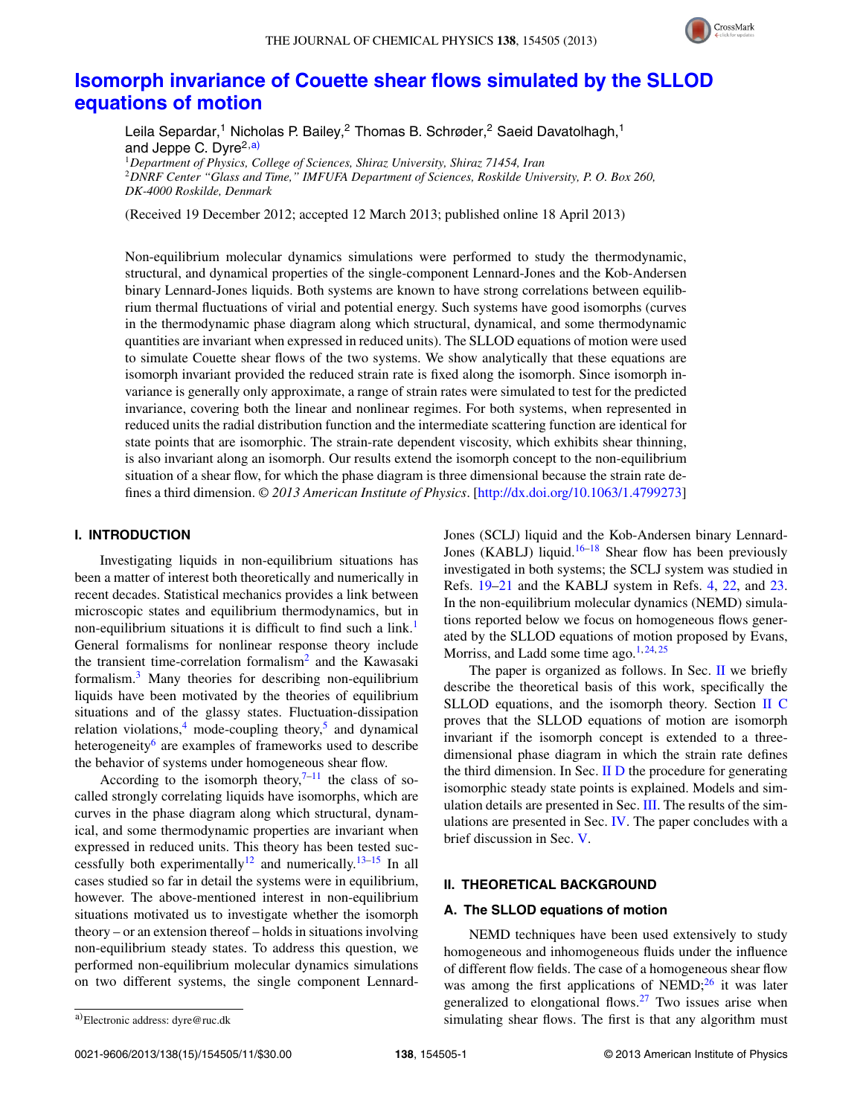

# **[Isomorph invariance of Couette shear flows simulated by the SLLOD](http://dx.doi.org/10.1063/1.4799273) [equations of motion](http://dx.doi.org/10.1063/1.4799273)**

Leila Separdar,<sup>1</sup> Nicholas P. Bailey,<sup>2</sup> Thomas B. Schrøder,<sup>2</sup> Saeid Davatolhagh,<sup>1</sup> and Jeppe C. Dyre $^{2,a)}$  $^{2,a)}$  $^{2,a)}$ <sup>1</sup>*Department of Physics, College of Sciences, Shiraz University, Shiraz 71454, Iran* <sup>2</sup>*DNRF Center "Glass and Time," IMFUFA Department of Sciences, Roskilde University, P. O. Box 260,*

(Received 19 December 2012; accepted 12 March 2013; published online 18 April 2013)

Non-equilibrium molecular dynamics simulations were performed to study the thermodynamic, structural, and dynamical properties of the single-component Lennard-Jones and the Kob-Andersen binary Lennard-Jones liquids. Both systems are known to have strong correlations between equilibrium thermal fluctuations of virial and potential energy. Such systems have good isomorphs (curves in the thermodynamic phase diagram along which structural, dynamical, and some thermodynamic quantities are invariant when expressed in reduced units). The SLLOD equations of motion were used to simulate Couette shear flows of the two systems. We show analytically that these equations are isomorph invariant provided the reduced strain rate is fixed along the isomorph. Since isomorph invariance is generally only approximate, a range of strain rates were simulated to test for the predicted invariance, covering both the linear and nonlinear regimes. For both systems, when represented in reduced units the radial distribution function and the intermediate scattering function are identical for state points that are isomorphic. The strain-rate dependent viscosity, which exhibits shear thinning, is also invariant along an isomorph. Our results extend the isomorph concept to the non-equilibrium situation of a shear flow, for which the phase diagram is three dimensional because the strain rate defines a third dimension. *© 2013 American Institute of Physics*. [\[http://dx.doi.org/10.1063/1.4799273\]](http://dx.doi.org/10.1063/1.4799273)

## **I. INTRODUCTION**

*DK-4000 Roskilde, Denmark*

Investigating liquids in non-equilibrium situations has been a matter of interest both theoretically and numerically in recent decades. Statistical mechanics provides a link between microscopic states and equilibrium thermodynamics, but in non-equilibrium situations it is difficult to find such a link.<sup>1</sup> General formalisms for nonlinear response theory include the transient time-correlation formalism<sup>[2](#page-10-1)</sup> and the Kawasaki formalism.[3](#page-10-2) Many theories for describing non-equilibrium liquids have been motivated by the theories of equilibrium situations and of the glassy states. Fluctuation-dissipation relation violations,<sup>4</sup> mode-coupling theory,<sup>5</sup> and dynamical heterogeneity<sup>6</sup> are examples of frameworks used to describe the behavior of systems under homogeneous shear flow.

According to the isomorph theory, $7-11$  $7-11$  the class of socalled strongly correlating liquids have isomorphs, which are curves in the phase diagram along which structural, dynamical, and some thermodynamic properties are invariant when expressed in reduced units. This theory has been tested suc-cessfully both experimentally<sup>12</sup> and numerically.<sup>[13](#page-10-9)[–15](#page-10-10)</sup> In all cases studied so far in detail the systems were in equilibrium, however. The above-mentioned interest in non-equilibrium situations motivated us to investigate whether the isomorph theory – or an extension thereof – holds in situations involving non-equilibrium steady states. To address this question, we performed non-equilibrium molecular dynamics simulations on two different systems, the single component LennardJones (SCLJ) liquid and the Kob-Andersen binary Lennard-Jones (KABLJ) liquid.<sup>16–[18](#page-10-12)</sup> Shear flow has been previously investigated in both systems; the SCLJ system was studied in Refs. [19](#page-10-13)[–21](#page-10-14) and the KABLJ system in Refs. [4,](#page-10-3) [22,](#page-10-15) and [23.](#page-10-16) In the non-equilibrium molecular dynamics (NEMD) simulations reported below we focus on homogeneous flows generated by the SLLOD equations of motion proposed by Evans, Morriss, and Ladd some time ago. $1,24,25$  $1,24,25$  $1,24,25$ 

The paper is organized as follows. In Sec. [II](#page-0-1) we briefly describe the theoretical basis of this work, specifically the SLLOD equations, and the isomorph theory. Section [II C](#page-2-0) proves that the SLLOD equations of motion are isomorph invariant if the isomorph concept is extended to a threedimensional phase diagram in which the strain rate defines the third dimension. In Sec.  $II$   $D$  the procedure for generating isomorphic steady state points is explained. Models and simulation details are presented in Sec. [III.](#page-3-1) The results of the simulations are presented in Sec. [IV.](#page-4-0) The paper concludes with a brief discussion in Sec. [V.](#page-7-0)

## <span id="page-0-1"></span>**II. THEORETICAL BACKGROUND**

# **A. The SLLOD equations of motion**

NEMD techniques have been used extensively to study homogeneous and inhomogeneous fluids under the influence of different flow fields. The case of a homogeneous shear flow was among the first applications of  $NEMD;^{26}$  $NEMD;^{26}$  $NEMD;^{26}$  it was later generalized to elongational flows. $27$  Two issues arise when simulating shear flows. The first is that any algorithm must

<span id="page-0-0"></span>a)Electronic address: [dyre@ruc.dk](mailto: dyre@ruc.dk)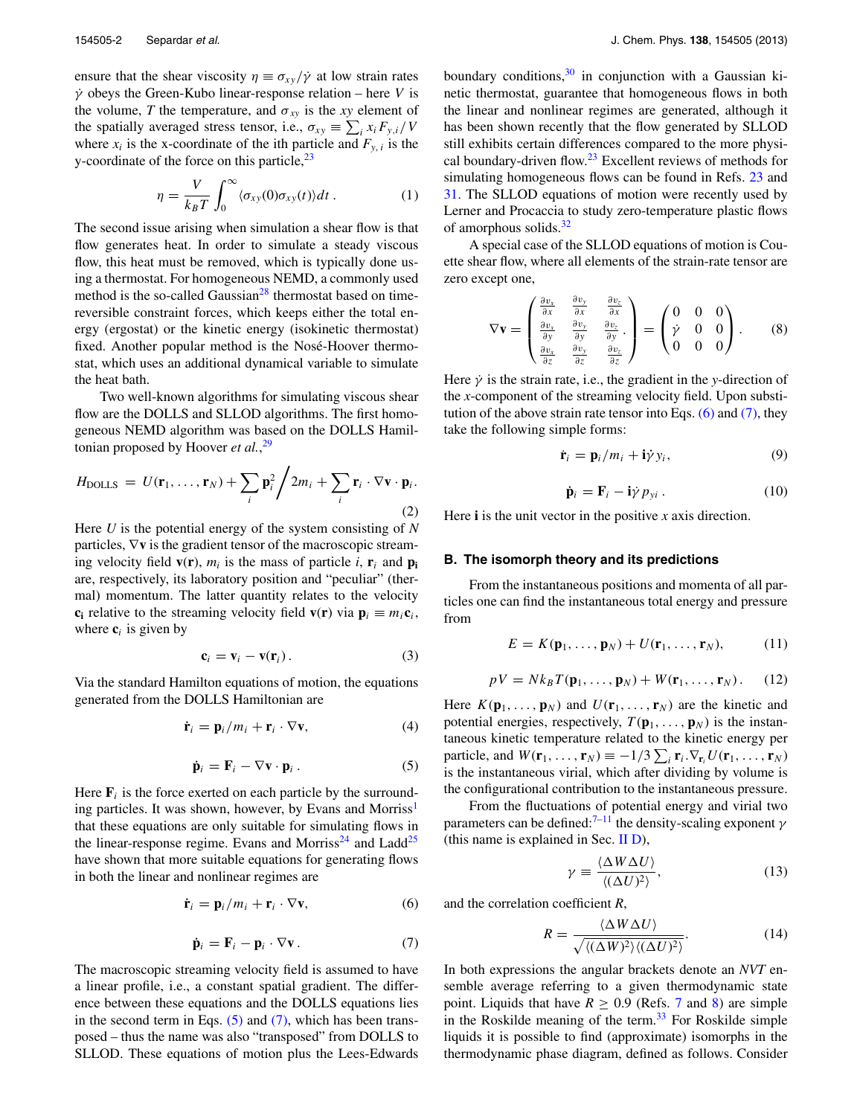ensure that the shear viscosity  $\eta \equiv \sigma_{xy}/\dot{\gamma}$  at low strain rates *γ*˙ obeys the Green-Kubo linear-response relation – here *V* is the volume, *T* the temperature, and  $\sigma_{xy}$  is the *xy* element of the spatially averaged stress tensor, i.e.,  $\sigma_{xy} \equiv \sum_i x_i F_{y,i}/V$ where  $x_i$  is the x-coordinate of the ith particle and  $F_{y,i}$  is the y-coordinate of the force on this particle,  $23$ 

$$
\eta = \frac{V}{k_B T} \int_0^\infty \langle \sigma_{xy}(0) \sigma_{xy}(t) \rangle dt \,. \tag{1}
$$

The second issue arising when simulation a shear flow is that flow generates heat. In order to simulate a steady viscous flow, this heat must be removed, which is typically done using a thermostat. For homogeneous NEMD, a commonly used method is the so-called Gaussian<sup>28</sup> thermostat based on timereversible constraint forces, which keeps either the total energy (ergostat) or the kinetic energy (isokinetic thermostat) fixed. Another popular method is the Nosé-Hoover thermostat, which uses an additional dynamical variable to simulate the heat bath.

Two well-known algorithms for simulating viscous shear flow are the DOLLS and SLLOD algorithms. The first homogeneous NEMD algorithm was based on the DOLLS Hamiltonian proposed by Hoover *et al.*, [29](#page-10-22)

$$
H_{\text{DOLLS}} = U(\mathbf{r}_1, ..., \mathbf{r}_N) + \sum_i \mathbf{p}_i^2 / 2m_i + \sum_i \mathbf{r}_i \cdot \nabla \mathbf{v} \cdot \mathbf{p}_i.
$$
\n(2)

Here *U* is the potential energy of the system consisting of *N* particles, ∇**v** is the gradient tensor of the macroscopic streaming velocity field  $\mathbf{v}(\mathbf{r})$ ,  $m_i$  is the mass of particle *i*,  $\mathbf{r}_i$  and  $\mathbf{p}_i$ are, respectively, its laboratory position and "peculiar" (thermal) momentum. The latter quantity relates to the velocity **c**<sub>i</sub> relative to the streaming velocity field **v**(**r**) via  $\mathbf{p}_i \equiv m_i \mathbf{c}_i$ , where  $c_i$  is given by

$$
\mathbf{c}_i = \mathbf{v}_i - \mathbf{v}(\mathbf{r}_i). \tag{3}
$$

Via the standard Hamilton equations of motion, the equations generated from the DOLLS Hamiltonian are

$$
\dot{\mathbf{r}}_i = \mathbf{p}_i / m_i + \mathbf{r}_i \cdot \nabla \mathbf{v},\tag{4}
$$

$$
\dot{\mathbf{p}}_i = \mathbf{F}_i - \nabla \mathbf{v} \cdot \mathbf{p}_i. \tag{5}
$$

<span id="page-1-0"></span>Here  $\mathbf{F}_i$  is the force exerted on each particle by the surrounding particles. It was shown, however, by Evans and Morriss<sup>1</sup> that these equations are only suitable for simulating flows in the linear-response regime. Evans and Morriss<sup>[24](#page-10-17)</sup> and Ladd<sup>25</sup> have shown that more suitable equations for generating flows in both the linear and nonlinear regimes are

$$
\dot{\mathbf{r}}_i = \mathbf{p}_i / m_i + \mathbf{r}_i \cdot \nabla \mathbf{v},\tag{6}
$$

$$
\dot{\mathbf{p}}_i = \mathbf{F}_i - \mathbf{p}_i \cdot \nabla \mathbf{v} \,. \tag{7}
$$

<span id="page-1-1"></span>The macroscopic streaming velocity field is assumed to have a linear profile, i.e., a constant spatial gradient. The difference between these equations and the DOLLS equations lies in the second term in Eqs.  $(5)$  and  $(7)$ , which has been transposed – thus the name was also "transposed" from DOLLS to SLLOD. These equations of motion plus the Lees-Edwards boundary conditions,  $30$  in conjunction with a Gaussian kinetic thermostat, guarantee that homogeneous flows in both the linear and nonlinear regimes are generated, although it has been shown recently that the flow generated by SLLOD still exhibits certain differences compared to the more physi-cal boundary-driven flow.<sup>[23](#page-10-16)</sup> Excellent reviews of methods for simulating homogeneous flows can be found in Refs. [23](#page-10-16) and [31.](#page-10-24) The SLLOD equations of motion were recently used by Lerner and Procaccia to study zero-temperature plastic flows of amorphous solids. $32$ 

A special case of the SLLOD equations of motion is Couette shear flow, where all elements of the strain-rate tensor are zero except one,

$$
\nabla \mathbf{v} = \begin{pmatrix} \frac{\partial v_x}{\partial x} & \frac{\partial v_y}{\partial x} & \frac{\partial v_z}{\partial x} \\ \frac{\partial v_y}{\partial y} & \frac{\partial v_y}{\partial y} & \frac{\partial v_z}{\partial y} \\ \frac{\partial v_x}{\partial z} & \frac{\partial v_y}{\partial z} & \frac{\partial v_z}{\partial z} \end{pmatrix} = \begin{pmatrix} 0 & 0 & 0 \\ \dot{\gamma} & 0 & 0 \\ 0 & 0 & 0 \end{pmatrix}.
$$
 (8)

Here  $\dot{\gamma}$  is the strain rate, i.e., the gradient in the *y*-direction of the *x*-component of the streaming velocity field. Upon substitution of the above strain rate tensor into Eqs.  $(6)$  and  $(7)$ , they take the following simple forms:

$$
\dot{\mathbf{r}}_i = \mathbf{p}_i / m_i + \mathbf{i} \dot{\gamma} y_i, \tag{9}
$$

$$
\dot{\mathbf{p}}_i = \mathbf{F}_i - \mathbf{i}\dot{\gamma} p_{yi} . \qquad (10)
$$

Here **i** is the unit vector in the positive *x* axis direction.

#### **B. The isomorph theory and its predictions**

From the instantaneous positions and momenta of all particles one can find the instantaneous total energy and pressure from

$$
E = K(\mathbf{p}_1, \dots, \mathbf{p}_N) + U(\mathbf{r}_1, \dots, \mathbf{r}_N), \tag{11}
$$

$$
pV = Nk_B T(\mathbf{p}_1, \dots, \mathbf{p}_N) + W(\mathbf{r}_1, \dots, \mathbf{r}_N).
$$
 (12)

Here  $K(\mathbf{p}_1, \ldots, \mathbf{p}_N)$  and  $U(\mathbf{r}_1, \ldots, \mathbf{r}_N)$  are the kinetic and potential energies, respectively,  $T(\mathbf{p}_1, \ldots, \mathbf{p}_N)$  is the instantaneous kinetic temperature related to the kinetic energy per particle, and  $W(\mathbf{r}_1, ..., \mathbf{r}_N) \equiv -1/3 \sum_i \mathbf{r}_i \cdot \nabla_{\mathbf{r}_i} U(\mathbf{r}_1, ..., \mathbf{r}_N)$ is the instantaneous virial, which after dividing by volume is the configurational contribution to the instantaneous pressure.

From the fluctuations of potential energy and virial two parameters can be defined: $7^{-11}$  $7^{-11}$  the density-scaling exponent  $\gamma$ (this name is explained in Sec. [II D\)](#page-3-0),

<span id="page-1-3"></span>
$$
\gamma \equiv \frac{\langle \Delta W \Delta U \rangle}{\langle (\Delta U)^2 \rangle},\tag{13}
$$

<span id="page-1-2"></span>and the correlation coefficient *R*,

$$
R = \frac{\langle \Delta W \Delta U \rangle}{\sqrt{\langle (\Delta W)^2 \rangle \langle (\Delta U)^2 \rangle}}.
$$
 (14)

In both expressions the angular brackets denote an *NVT* ensemble average referring to a given thermodynamic state point. Liquids that have  $R \geq 0.9$  (Refs. [7](#page-10-6) and [8\)](#page-10-26) are simple in the Roskilde meaning of the term. $33$  For Roskilde simple liquids it is possible to find (approximate) isomorphs in the thermodynamic phase diagram, defined as follows. Consider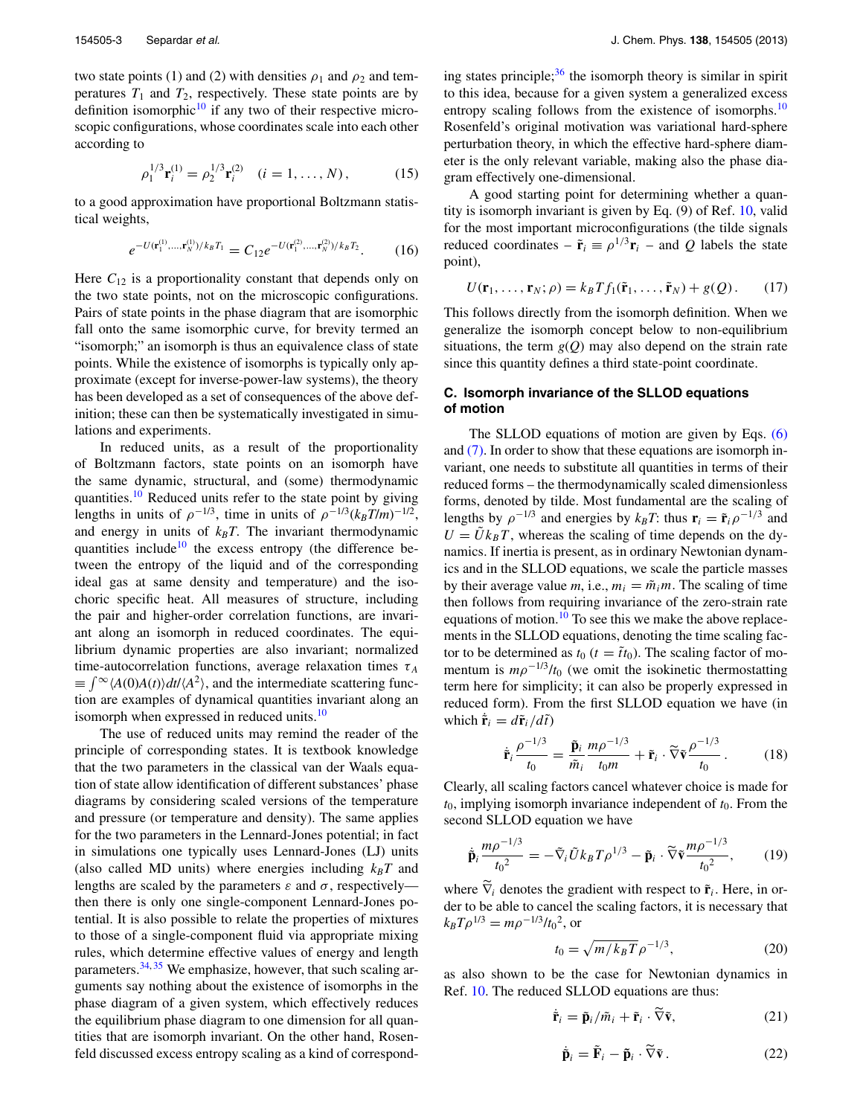two state points (1) and (2) with densities  $\rho_1$  and  $\rho_2$  and temperatures  $T_1$  and  $T_2$ , respectively. These state points are by definition isomorphic $10$  if any two of their respective microscopic configurations, whose coordinates scale into each other according to

$$
\rho_1^{1/3} \mathbf{r}_i^{(1)} = \rho_2^{1/3} \mathbf{r}_i^{(2)} \quad (i = 1, ..., N), \tag{15}
$$

to a good approximation have proportional Boltzmann statistical weights,

$$
e^{-U(\mathbf{r}_1^{(1)},\ldots,\mathbf{r}_N^{(1)})/k_B T_1} = C_{12} e^{-U(\mathbf{r}_1^{(2)},\ldots,\mathbf{r}_N^{(2)})/k_B T_2}.\tag{16}
$$

Here  $C_{12}$  is a proportionality constant that depends only on the two state points, not on the microscopic configurations. Pairs of state points in the phase diagram that are isomorphic fall onto the same isomorphic curve, for brevity termed an "isomorph;" an isomorph is thus an equivalence class of state points. While the existence of isomorphs is typically only approximate (except for inverse-power-law systems), the theory has been developed as a set of consequences of the above definition; these can then be systematically investigated in simulations and experiments.

In reduced units, as a result of the proportionality of Boltzmann factors, state points on an isomorph have the same dynamic, structural, and (some) thermodynamic quantities.<sup>10</sup> Reduced units refer to the state point by giving lengths in units of  $\rho^{-1/3}$ , time in units of  $\rho^{-1/3}(k_BT/m)^{-1/2}$ , and energy in units of  $k_B T$ . The invariant thermodynamic quantities include<sup>10</sup> the excess entropy (the difference between the entropy of the liquid and of the corresponding ideal gas at same density and temperature) and the isochoric specific heat. All measures of structure, including the pair and higher-order correlation functions, are invariant along an isomorph in reduced coordinates. The equilibrium dynamic properties are also invariant; normalized time-autocorrelation functions, average relaxation times  $\tau_A$  $\equiv \int_{-\infty}^{\infty} \langle A(0)A(t) \rangle dt / \langle A^2 \rangle$ , and the intermediate scattering function are examples of dynamical quantities invariant along an isomorph when expressed in reduced units.<sup>[10](#page-10-28)</sup>

The use of reduced units may remind the reader of the principle of corresponding states. It is textbook knowledge that the two parameters in the classical van der Waals equation of state allow identification of different substances' phase diagrams by considering scaled versions of the temperature and pressure (or temperature and density). The same applies for the two parameters in the Lennard-Jones potential; in fact in simulations one typically uses Lennard-Jones (LJ) units (also called MD units) where energies including  $k_B T$  and lengths are scaled by the parameters  $\varepsilon$  and  $\sigma$ , respectively then there is only one single-component Lennard-Jones potential. It is also possible to relate the properties of mixtures to those of a single-component fluid via appropriate mixing rules, which determine effective values of energy and length parameters.<sup>[34,](#page-10-29) [35](#page-10-30)</sup> We emphasize, however, that such scaling arguments say nothing about the existence of isomorphs in the phase diagram of a given system, which effectively reduces the equilibrium phase diagram to one dimension for all quantities that are isomorph invariant. On the other hand, Rosenfeld discussed excess entropy scaling as a kind of corresponding states principle; $36$  the isomorph theory is similar in spirit to this idea, because for a given system a generalized excess entropy scaling follows from the existence of isomorphs.<sup>[10](#page-10-28)</sup> Rosenfeld's original motivation was variational hard-sphere perturbation theory, in which the effective hard-sphere diameter is the only relevant variable, making also the phase diagram effectively one-dimensional.

A good starting point for determining whether a quantity is isomorph invariant is given by Eq. (9) of Ref. [10,](#page-10-28) valid for the most important microconfigurations (the tilde signals reduced coordinates –  $\tilde{\mathbf{r}}_i = \rho^{1/3} \mathbf{r}_i$  – and *Q* labels the state point),

<span id="page-2-1"></span>
$$
U(\mathbf{r}_1,\ldots,\mathbf{r}_N;\rho)=k_BTf_1(\tilde{\mathbf{r}}_1,\ldots,\tilde{\mathbf{r}}_N)+g(Q). \qquad (17)
$$

This follows directly from the isomorph definition. When we generalize the isomorph concept below to non-equilibrium situations, the term  $g(Q)$  may also depend on the strain rate since this quantity defines a third state-point coordinate.

# <span id="page-2-0"></span>**C. Isomorph invariance of the SLLOD equations of motion**

The SLLOD equations of motion are given by Eqs. [\(6\)](#page-1-2) and [\(7\).](#page-1-1) In order to show that these equations are isomorph invariant, one needs to substitute all quantities in terms of their reduced forms – the thermodynamically scaled dimensionless forms, denoted by tilde. Most fundamental are the scaling of lengths by  $\rho^{-1/3}$  and energies by  $k_B T$ : thus  $\mathbf{r}_i = \tilde{\mathbf{r}}_i \rho^{-1/3}$  and  $U = \tilde{U}k_BT$ , whereas the scaling of time depends on the dynamics. If inertia is present, as in ordinary Newtonian dynamics and in the SLLOD equations, we scale the particle masses by their average value *m*, i.e.,  $m_i = \tilde{m}_i m$ . The scaling of time then follows from requiring invariance of the zero-strain rate equations of motion.<sup>[10](#page-10-28)</sup> To see this we make the above replacements in the SLLOD equations, denoting the time scaling factor to be determined as  $t_0$  ( $t = \tilde{t}t_0$ ). The scaling factor of momentum is  $m\rho^{-1/3}/t_0$  (we omit the isokinetic thermostatting term here for simplicity; it can also be properly expressed in reduced form). From the first SLLOD equation we have (in which  $\dot{\mathbf{r}}_i = d\tilde{\mathbf{r}}_i/d\tilde{t}$ 

$$
\dot{\tilde{\mathbf{r}}}_i \frac{\rho^{-1/3}}{t_0} = \frac{\tilde{\mathbf{p}}_i}{\tilde{m}_i} \frac{m \rho^{-1/3}}{t_0 m} + \tilde{\mathbf{r}}_i \cdot \tilde{\nabla} \tilde{\mathbf{v}} \frac{\rho^{-1/3}}{t_0} \,. \tag{18}
$$

Clearly, all scaling factors cancel whatever choice is made for *t*0, implying isomorph invariance independent of *t*0. From the second SLLOD equation we have

$$
\dot{\tilde{\mathbf{p}}}_{i} \frac{m \rho^{-1/3}}{t_0^2} = -\tilde{\nabla}_i \tilde{U} k_B T \rho^{1/3} - \tilde{\mathbf{p}}_i \cdot \tilde{\nabla} \tilde{\mathbf{v}} \frac{m \rho^{-1/3}}{t_0^2}, \qquad (19)
$$

where  $\nabla_i$  denotes the gradient with respect to  $\tilde{\mathbf{r}}_i$ . Here, in order to be able to cancel the scaling factors, it is necessary that  $k_B T \rho^{1/3} = m \rho^{-1/3} / t_0^2$ , or

$$
t_0 = \sqrt{m/k_B T} \rho^{-1/3},\tag{20}
$$

as also shown to be the case for Newtonian dynamics in Ref. [10.](#page-10-28) The reduced SLLOD equations are thus:

$$
\tilde{\mathbf{r}}_i = \tilde{\mathbf{p}}_i / \tilde{m}_i + \tilde{\mathbf{r}}_i \cdot \nabla \tilde{\mathbf{v}},
$$
 (21)

$$
\dot{\tilde{\mathbf{p}}}_i = \tilde{\mathbf{F}}_i - \tilde{\mathbf{p}}_i \cdot \tilde{\nabla} \tilde{\mathbf{v}}.
$$
 (22)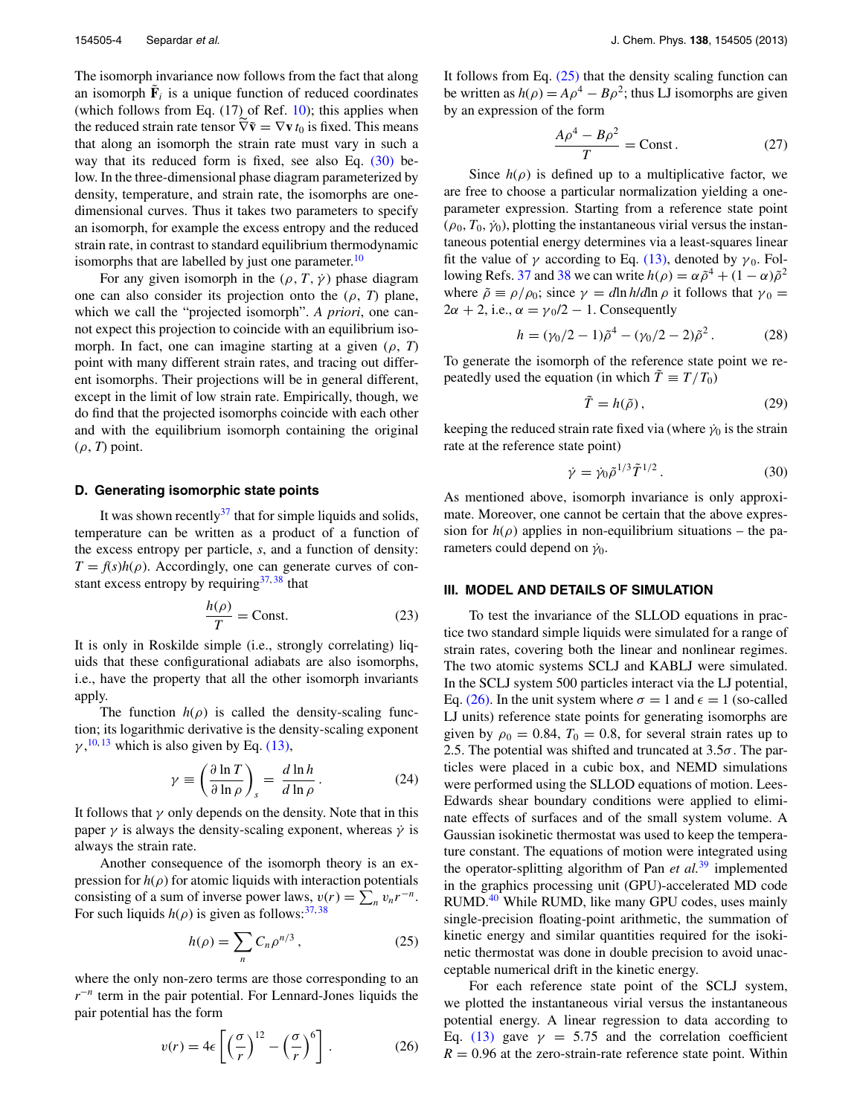The isomorph invariance now follows from the fact that along an isomorph  $\tilde{F}_i$  is a unique function of reduced coordinates (which follows from Eq.  $(17)$  of Ref.  $10$ ); this applies when the reduced strain rate tensor  $\nabla \tilde{\mathbf{v}} = \nabla \mathbf{v} t_0$  is fixed. This means that along an isomorph the strain rate must vary in such a way that its reduced form is fixed, see also Eq.  $(30)$  below. In the three-dimensional phase diagram parameterized by density, temperature, and strain rate, the isomorphs are onedimensional curves. Thus it takes two parameters to specify an isomorph, for example the excess entropy and the reduced strain rate, in contrast to standard equilibrium thermodynamic isomorphs that are labelled by just one parameter.<sup>[10](#page-10-28)</sup>

For any given isomorph in the  $(\rho, T, \gamma)$  phase diagram one can also consider its projection onto the  $(\rho, T)$  plane, which we call the "projected isomorph". *A priori*, one cannot expect this projection to coincide with an equilibrium isomorph. In fact, one can imagine starting at a given (*ρ*, *T*) point with many different strain rates, and tracing out different isomorphs. Their projections will be in general different, except in the limit of low strain rate. Empirically, though, we do find that the projected isomorphs coincide with each other and with the equilibrium isomorph containing the original (*ρ*, *T*) point.

## <span id="page-3-0"></span>**D. Generating isomorphic state points**

It was shown recently $37$  that for simple liquids and solids, temperature can be written as a product of a function of the excess entropy per particle, *s*, and a function of density:  $T = f(s)h(\rho)$ . Accordingly, one can generate curves of constant excess entropy by requiring  $37,38$  $37,38$  that

$$
\frac{h(\rho)}{T} = \text{Const.} \tag{23}
$$

It is only in Roskilde simple (i.e., strongly correlating) liquids that these configurational adiabats are also isomorphs, i.e., have the property that all the other isomorph invariants apply.

The function  $h(\rho)$  is called the density-scaling function; its logarithmic derivative is the density-scaling exponent  $\gamma$ ,<sup>[10,](#page-10-28) [13](#page-10-9)</sup> which is also given by Eq. [\(13\),](#page-1-3)

$$
\gamma \equiv \left(\frac{\partial \ln T}{\partial \ln \rho}\right)_s = \frac{d \ln h}{d \ln \rho}.
$$
 (24)

It follows that  $\gamma$  only depends on the density. Note that in this paper  $\gamma$  is always the density-scaling exponent, whereas  $\dot{\gamma}$  is always the strain rate.

Another consequence of the isomorph theory is an expression for  $h(\rho)$  for atomic liquids with interaction potentials consisting of a sum of inverse power laws,  $v(r) = \sum_{n} v_n r^{-n}$ . For such liquids  $h(\rho)$  is given as follows:<sup>[37,](#page-10-32)[38](#page-10-33)</sup>

<span id="page-3-3"></span>
$$
h(\rho) = \sum_{n} C_n \rho^{n/3}, \qquad (25)
$$

where the only non-zero terms are those corresponding to an *r*−*<sup>n</sup>* term in the pair potential. For Lennard-Jones liquids the pair potential has the form

<span id="page-3-4"></span>
$$
v(r) = 4\epsilon \left[ \left( \frac{\sigma}{r} \right)^{12} - \left( \frac{\sigma}{r} \right)^6 \right].
$$
 (26)

It follows from Eq. [\(25\)](#page-3-3) that the density scaling function can be written as  $h(\rho) = A\rho^4 - B\rho^2$ ; thus LJ isomorphs are given by an expression of the form

$$
\frac{A\rho^4 - B\rho^2}{T} = \text{Const.}
$$
 (27)

Since  $h(\rho)$  is defined up to a multiplicative factor, we are free to choose a particular normalization yielding a oneparameter expression. Starting from a reference state point  $(\rho_0, T_0, \dot{\gamma}_0)$ , plotting the instantaneous virial versus the instantaneous potential energy determines via a least-squares linear fit the value of  $\gamma$  according to Eq. [\(13\),](#page-1-3) denoted by  $\gamma_0$ . Fol-lowing Refs. [37](#page-10-32) and [38](#page-10-33) we can write  $h(\rho) = \alpha \tilde{\rho}^4 + (1 - \alpha) \tilde{\rho}^2$ where  $\tilde{\rho} \equiv \rho / \rho_0$ ; since  $\gamma = d \ln h / d \ln \rho$  it follows that  $\gamma_0 =$  $2\alpha + 2$ , i.e.,  $\alpha = \gamma_0/2 - 1$ . Consequently

<span id="page-3-6"></span>
$$
h = (\gamma_0/2 - 1)\tilde{\rho}^4 - (\gamma_0/2 - 2)\tilde{\rho}^2. \tag{28}
$$

To generate the isomorph of the reference state point we repeatedly used the equation (in which  $\tilde{T} \equiv T/T_0$ )

<span id="page-3-5"></span>
$$
\tilde{T} = h(\tilde{\rho}),\tag{29}
$$

keeping the reduced strain rate fixed via (where  $\dot{\gamma}_0$  is the strain rate at the reference state point)

<span id="page-3-2"></span>
$$
\dot{\gamma} = \dot{\gamma}_0 \tilde{\rho}^{1/3} \tilde{T}^{1/2} \,. \tag{30}
$$

As mentioned above, isomorph invariance is only approximate. Moreover, one cannot be certain that the above expression for  $h(\rho)$  applies in non-equilibrium situations – the parameters could depend on  $\dot{\gamma}_0$ .

#### <span id="page-3-1"></span>**III. MODEL AND DETAILS OF SIMULATION**

To test the invariance of the SLLOD equations in practice two standard simple liquids were simulated for a range of strain rates, covering both the linear and nonlinear regimes. The two atomic systems SCLJ and KABLJ were simulated. In the SCLJ system 500 particles interact via the LJ potential, Eq. [\(26\).](#page-3-4) In the unit system where  $\sigma = 1$  and  $\epsilon = 1$  (so-called LJ units) reference state points for generating isomorphs are given by  $\rho_0 = 0.84$ ,  $T_0 = 0.8$ , for several strain rates up to 2.5. The potential was shifted and truncated at 3.5*σ*. The particles were placed in a cubic box, and NEMD simulations were performed using the SLLOD equations of motion. Lees-Edwards shear boundary conditions were applied to eliminate effects of surfaces and of the small system volume. A Gaussian isokinetic thermostat was used to keep the temperature constant. The equations of motion were integrated using the operator-splitting algorithm of Pan *et al.*[39](#page-10-34) implemented in the graphics processing unit (GPU)-accelerated MD code RUMD.<sup>[40](#page-10-35)</sup> While RUMD, like many GPU codes, uses mainly single-precision floating-point arithmetic, the summation of kinetic energy and similar quantities required for the isokinetic thermostat was done in double precision to avoid unacceptable numerical drift in the kinetic energy.

For each reference state point of the SCLJ system, we plotted the instantaneous virial versus the instantaneous potential energy. A linear regression to data according to Eq. [\(13\)](#page-1-3) gave  $\gamma = 5.75$  and the correlation coefficient  $R = 0.96$  at the zero-strain-rate reference state point. Within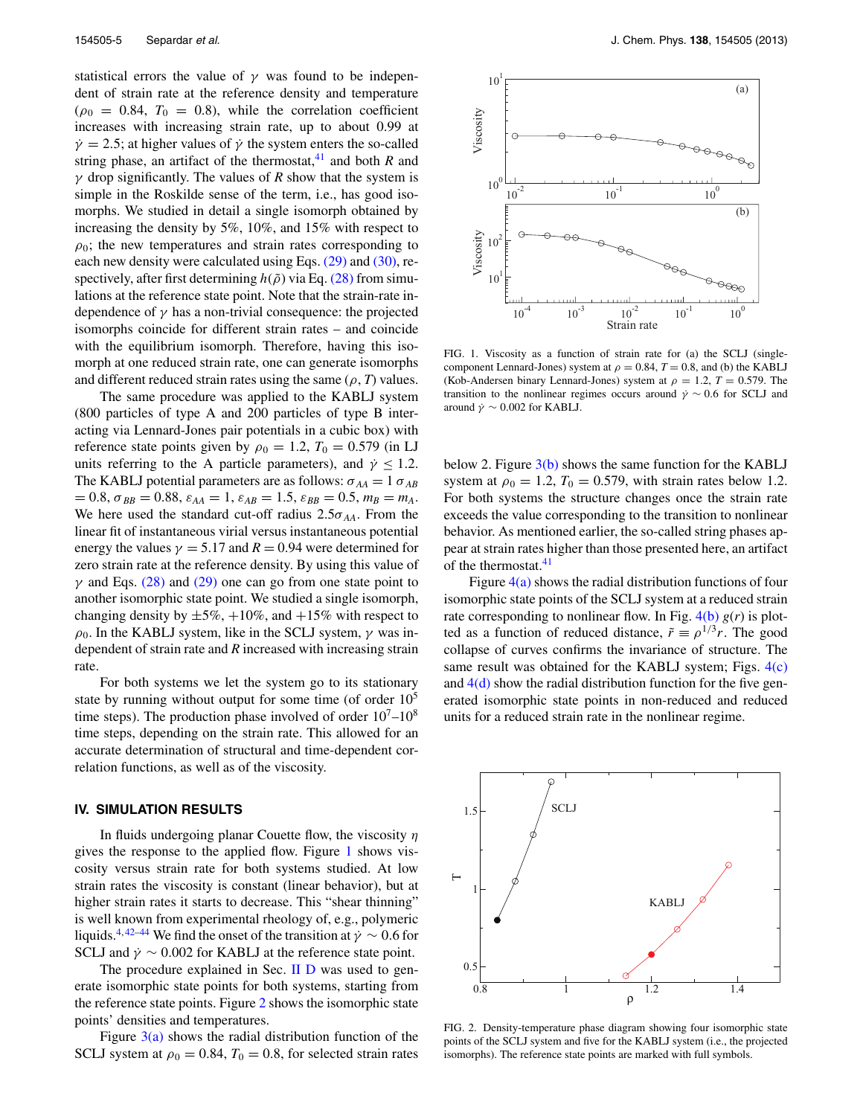statistical errors the value of  $\gamma$  was found to be independent of strain rate at the reference density and temperature  $(\rho_0 = 0.84, T_0 = 0.8)$ , while the correlation coefficient increases with increasing strain rate, up to about 0.99 at  $\dot{\gamma}$  = 2.5; at higher values of  $\dot{\gamma}$  the system enters the so-called string phase, an artifact of the thermostat,<sup>[41](#page-10-36)</sup> and both  $R$  and *γ* drop significantly. The values of *R* show that the system is simple in the Roskilde sense of the term, i.e., has good isomorphs. We studied in detail a single isomorph obtained by increasing the density by 5%, 10%, and 15% with respect to  $\rho_0$ ; the new temperatures and strain rates corresponding to each new density were calculated using Eqs.  $(29)$  and  $(30)$ , respectively, after first determining  $h(ρ̄)$  via Eq. [\(28\)](#page-3-6) from simulations at the reference state point. Note that the strain-rate independence of  $\gamma$  has a non-trivial consequence: the projected isomorphs coincide for different strain rates – and coincide with the equilibrium isomorph. Therefore, having this isomorph at one reduced strain rate, one can generate isomorphs and different reduced strain rates using the same  $(\rho, T)$  values.

The same procedure was applied to the KABLJ system (800 particles of type A and 200 particles of type B interacting via Lennard-Jones pair potentials in a cubic box) with reference state points given by  $\rho_0 = 1.2$ ,  $T_0 = 0.579$  (in LJ units referring to the A particle parameters), and  $\dot{\gamma} \leq 1.2$ . The KABLJ potential parameters are as follows:  $\sigma_{AA} = 1 \sigma_{AB}$  $= 0.8$ ,  $\sigma_{BB} = 0.88$ ,  $\varepsilon_{AA} = 1$ ,  $\varepsilon_{AB} = 1.5$ ,  $\varepsilon_{BB} = 0.5$ ,  $m_B = m_A$ . We here used the standard cut-off radius  $2.5\sigma_{AA}$ . From the linear fit of instantaneous virial versus instantaneous potential energy the values  $\gamma = 5.17$  and  $R = 0.94$  were determined for zero strain rate at the reference density. By using this value of *γ* and Eqs. [\(28\)](#page-3-6) and [\(29\)](#page-3-5) one can go from one state point to another isomorphic state point. We studied a single isomorph, changing density by  $\pm 5\%, +10\%$ , and  $+15\%$  with respect to  $\rho_0$ . In the KABLJ system, like in the SCLJ system,  $\gamma$  was independent of strain rate and *R* increased with increasing strain rate.

For both systems we let the system go to its stationary state by running without output for some time (of order  $10^5$ ) time steps). The production phase involved of order  $10<sup>7</sup>–10<sup>8</sup>$ time steps, depending on the strain rate. This allowed for an accurate determination of structural and time-dependent correlation functions, as well as of the viscosity.

### <span id="page-4-0"></span>**IV. SIMULATION RESULTS**

In fluids undergoing planar Couette flow, the viscosity *η* gives the response to the applied flow. Figure [1](#page-4-1) shows viscosity versus strain rate for both systems studied. At low strain rates the viscosity is constant (linear behavior), but at higher strain rates it starts to decrease. This "shear thinning" is well known from experimental rheology of, e.g., polymeric liquids.<sup>4, [42–](#page-10-37)[44](#page-10-38)</sup> We find the onset of the transition at  $\dot{\gamma} \sim 0.6$  for SCLJ and  $\dot{\gamma} \sim 0.002$  for KABLJ at the reference state point.

The procedure explained in Sec.  $\Pi$  D was used to generate isomorphic state points for both systems, starting from the reference state points. Figure [2](#page-4-2) shows the isomorphic state points' densities and temperatures.

Figure  $3(a)$  shows the radial distribution function of the SCLJ system at  $\rho_0 = 0.84$ ,  $T_0 = 0.8$ , for selected strain rates

<span id="page-4-1"></span>

FIG. 1. Viscosity as a function of strain rate for (a) the SCLJ (singlecomponent Lennard-Jones) system at  $\rho = 0.84$ ,  $T = 0.8$ , and (b) the KABLJ (Kob-Andersen binary Lennard-Jones) system at  $\rho = 1.2$ ,  $T = 0.579$ . The transition to the nonlinear regimes occurs around  $\dot{\gamma} \sim 0.6$  for SCLJ and around  $\dot{\gamma} \sim 0.002$  for KABLJ.

below 2. Figure  $3(b)$  shows the same function for the KABLJ system at  $\rho_0 = 1.2$ ,  $T_0 = 0.579$ , with strain rates below 1.2. For both systems the structure changes once the strain rate exceeds the value corresponding to the transition to nonlinear behavior. As mentioned earlier, the so-called string phases appear at strain rates higher than those presented here, an artifact of the thermostat.<sup>[41](#page-10-36)</sup>

Figure  $4(a)$  shows the radial distribution functions of four isomorphic state points of the SCLJ system at a reduced strain rate corresponding to nonlinear flow. In Fig.  $4(b) g(r)$  $4(b) g(r)$  is plotted as a function of reduced distance,  $\tilde{r} \equiv \rho^{1/3} r$ . The good collapse of curves confirms the invariance of structure. The same result was obtained for the KABLJ system; Figs. [4\(c\)](#page-5-1) and  $4(d)$  show the radial distribution function for the five generated isomorphic state points in non-reduced and reduced units for a reduced strain rate in the nonlinear regime.

<span id="page-4-2"></span>

FIG. 2. Density-temperature phase diagram showing four isomorphic state points of the SCLJ system and five for the KABLJ system (i.e., the projected isomorphs). The reference state points are marked with full symbols.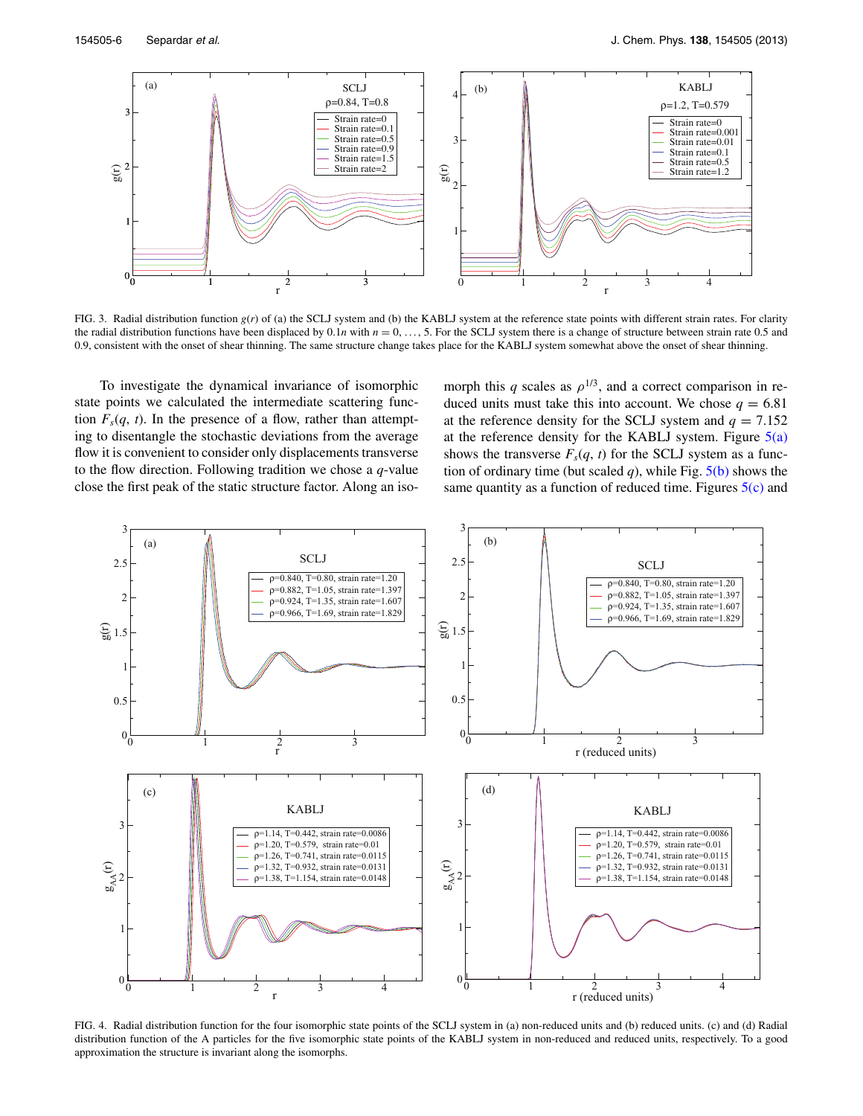<span id="page-5-0"></span>

FIG. 3. Radial distribution function *g*(*r*) of (a) the SCLJ system and (b) the KABLJ system at the reference state points with different strain rates. For clarity the radial distribution functions have been displaced by  $0.1n$  with  $n = 0, \ldots, 5$ . For the SCLJ system there is a change of structure between strain rate 0.5 and 0.9, consistent with the onset of shear thinning. The same structure change takes place for the KABLJ system somewhat above the onset of shear thinning.

To investigate the dynamical invariance of isomorphic state points we calculated the intermediate scattering function  $F_s(q, t)$ . In the presence of a flow, rather than attempting to disentangle the stochastic deviations from the average flow it is convenient to consider only displacements transverse to the flow direction. Following tradition we chose a *q*-value close the first peak of the static structure factor. Along an isomorph this *q* scales as  $\rho^{1/3}$ , and a correct comparison in reduced units must take this into account. We chose  $q = 6.81$ at the reference density for the SCLJ system and  $q = 7.152$ at the reference density for the KABLJ system. Figure  $5(a)$ shows the transverse  $F_s(q, t)$  for the SCLJ system as a function of ordinary time (but scaled  $q$ ), while Fig.  $5(b)$  shows the same quantity as a function of reduced time. Figures  $5(c)$  and

<span id="page-5-1"></span>

FIG. 4. Radial distribution function for the four isomorphic state points of the SCLJ system in (a) non-reduced units and (b) reduced units. (c) and (d) Radial distribution function of the A particles for the five isomorphic state points of the KABLJ system in non-reduced and reduced units, respectively. To a good approximation the structure is invariant along the isomorphs.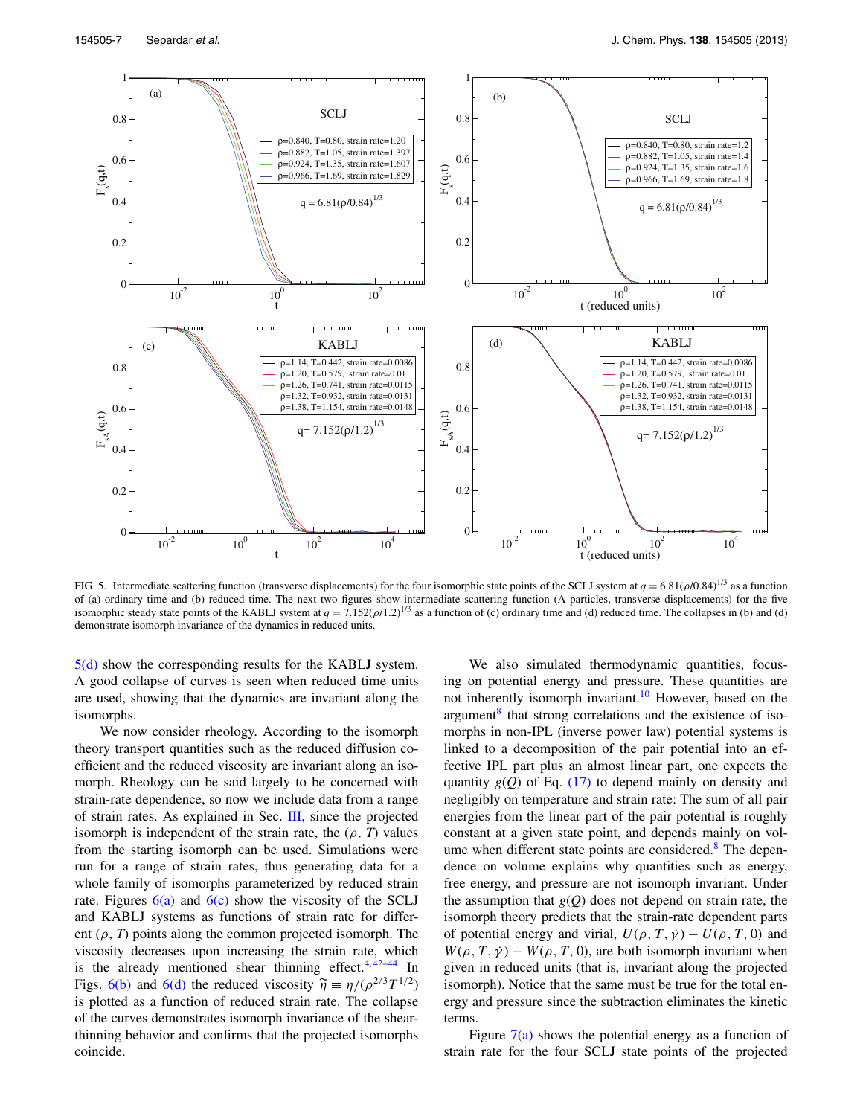<span id="page-6-0"></span>

FIG. 5. Intermediate scattering function (transverse displacements) for the four isomorphic state points of the SCLJ system at *<sup>q</sup>* <sup>=</sup> 6.81(*ρ*/0.84)1/3 as a function of (a) ordinary time and (b) reduced time. The next two figures show intermediate scattering function (A particles, transverse displacements) for the five isomorphic steady state points of the KABLJ system at  $q = 7.152(\rho/1.2)^{1/3}$  as a function of (c) ordinary time and (d) reduced time. The collapses in (b) and (d) demonstrate isomorph invariance of the dynamics in reduced units.

[5\(d\)](#page-6-0) show the corresponding results for the KABLJ system. A good collapse of curves is seen when reduced time units are used, showing that the dynamics are invariant along the isomorphs.

We now consider rheology. According to the isomorph theory transport quantities such as the reduced diffusion coefficient and the reduced viscosity are invariant along an isomorph. Rheology can be said largely to be concerned with strain-rate dependence, so now we include data from a range of strain rates. As explained in Sec. [III,](#page-3-1) since the projected isomorph is independent of the strain rate, the  $(\rho, T)$  values from the starting isomorph can be used. Simulations were run for a range of strain rates, thus generating data for a whole family of isomorphs parameterized by reduced strain rate. Figures  $6(a)$  and  $6(c)$  show the viscosity of the SCLJ and KABLJ systems as functions of strain rate for different  $(\rho, T)$  points along the common projected isomorph. The viscosity decreases upon increasing the strain rate, which is the already mentioned shear thinning effect. $4, 42-44$  $4, 42-44$  $4, 42-44$  In Figs. [6\(b\)](#page-7-1) and [6\(d\)](#page-7-1) the reduced viscosity  $\tilde{\eta} = \eta/(\rho^{2/3}T^{1/2})$ is plotted as a function of reduced strain rate. The collapse of the curves demonstrates isomorph invariance of the shearthinning behavior and confirms that the projected isomorphs coincide.

We also simulated thermodynamic quantities, focusing on potential energy and pressure. These quantities are not inherently isomorph invariant.<sup>[10](#page-10-28)</sup> However, based on the argument<sup>[8](#page-10-26)</sup> that strong correlations and the existence of isomorphs in non-IPL (inverse power law) potential systems is linked to a decomposition of the pair potential into an effective IPL part plus an almost linear part, one expects the quantity  $g(Q)$  of Eq.  $(17)$  to depend mainly on density and negligibly on temperature and strain rate: The sum of all pair energies from the linear part of the pair potential is roughly constant at a given state point, and depends mainly on vol-ume when different state points are considered.<sup>[8](#page-10-26)</sup> The dependence on volume explains why quantities such as energy, free energy, and pressure are not isomorph invariant. Under the assumption that  $g(Q)$  does not depend on strain rate, the isomorph theory predicts that the strain-rate dependent parts of potential energy and virial,  $U(\rho, T, \dot{\gamma}) - U(\rho, T, 0)$  and  $W(\rho, T, \dot{\gamma}) - W(\rho, T, 0)$ , are both isomorph invariant when given in reduced units (that is, invariant along the projected isomorph). Notice that the same must be true for the total energy and pressure since the subtraction eliminates the kinetic terms.

Figure  $7(a)$  shows the potential energy as a function of strain rate for the four SCLJ state points of the projected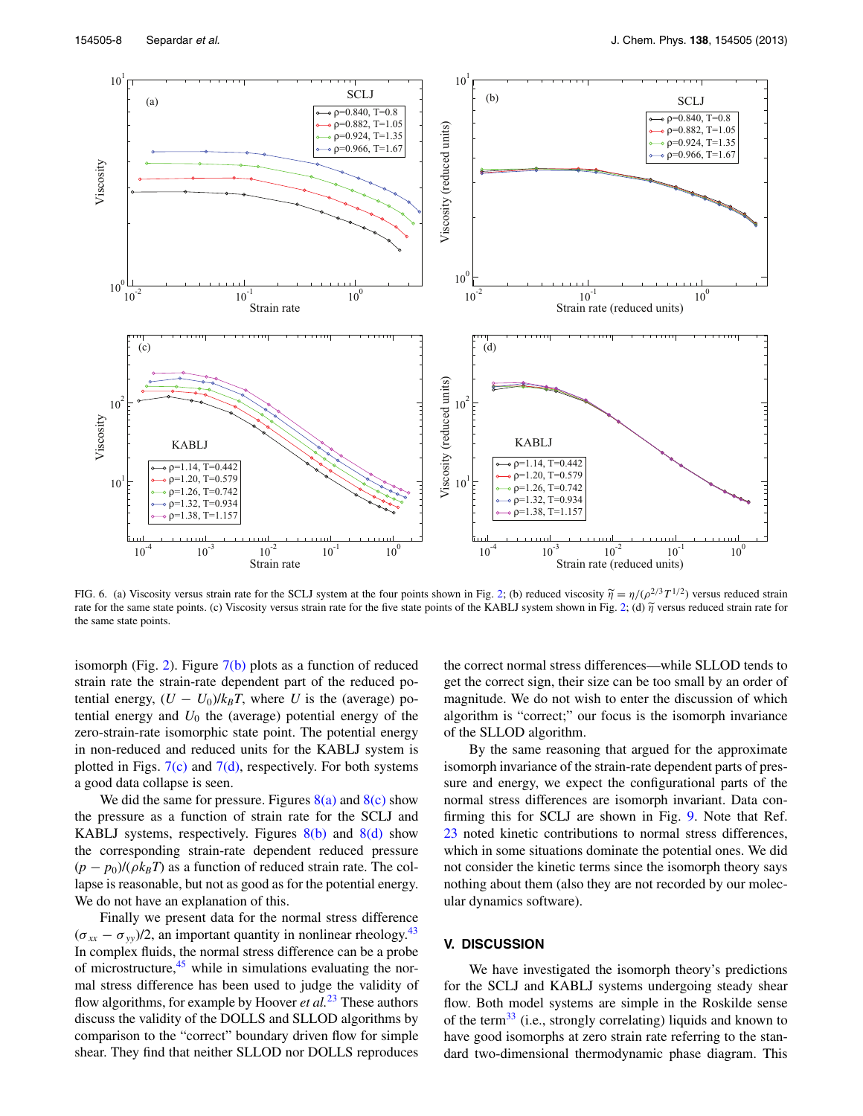<span id="page-7-1"></span>

FIG. 6. (a) Viscosity versus strain rate for the SCLJ system at the four points shown in Fig. [2;](#page-4-2) (b) reduced viscosity  $\tilde{\eta} = \eta/(\rho^{2/3}T^{1/2})$  versus reduced strain rate for the same state points. (c) Viscosity versus strain rate for the five state points of the KABLJ system shown in Fig. [2;](#page-4-2) (d) *<sup>η</sup>* versus reduced strain rate for the same state points.

isomorph (Fig. [2\)](#page-4-2). Figure  $7(b)$  plots as a function of reduced strain rate the strain-rate dependent part of the reduced potential energy,  $(U - U_0)/k_B T$ , where *U* is the (average) potential energy and  $U_0$  the (average) potential energy of the zero-strain-rate isomorphic state point. The potential energy in non-reduced and reduced units for the KABLJ system is plotted in Figs.  $7(c)$  and  $7(d)$ , respectively. For both systems a good data collapse is seen.

We did the same for pressure. Figures  $8(a)$  and  $8(c)$  show the pressure as a function of strain rate for the SCLJ and KABLJ systems, respectively. Figures  $8(b)$  and  $8(d)$  show the corresponding strain-rate dependent reduced pressure  $(p - p_0)/(\rho k_B T)$  as a function of reduced strain rate. The collapse is reasonable, but not as good as for the potential energy. We do not have an explanation of this.

Finally we present data for the normal stress difference  $(\sigma_{xx} - \sigma_{yy})/2$ , an important quantity in nonlinear rheology.<sup>[43](#page-10-39)</sup> In complex fluids, the normal stress difference can be a probe of microstructure, $45$  while in simulations evaluating the normal stress difference has been used to judge the validity of flow algorithms, for example by Hoover *et al.*[23](#page-10-16) These authors discuss the validity of the DOLLS and SLLOD algorithms by comparison to the "correct" boundary driven flow for simple shear. They find that neither SLLOD nor DOLLS reproduces the correct normal stress differences—while SLLOD tends to get the correct sign, their size can be too small by an order of magnitude. We do not wish to enter the discussion of which algorithm is "correct;" our focus is the isomorph invariance of the SLLOD algorithm.

By the same reasoning that argued for the approximate isomorph invariance of the strain-rate dependent parts of pressure and energy, we expect the configurational parts of the normal stress differences are isomorph invariant. Data confirming this for SCLJ are shown in Fig. [9.](#page-9-1) Note that Ref. [23](#page-10-16) noted kinetic contributions to normal stress differences, which in some situations dominate the potential ones. We did not consider the kinetic terms since the isomorph theory says nothing about them (also they are not recorded by our molecular dynamics software).

# <span id="page-7-0"></span>**V. DISCUSSION**

We have investigated the isomorph theory's predictions for the SCLJ and KABLJ systems undergoing steady shear flow. Both model systems are simple in the Roskilde sense of the term<sup>[33](#page-10-27)</sup> (i.e., strongly correlating) liquids and known to have good isomorphs at zero strain rate referring to the standard two-dimensional thermodynamic phase diagram. This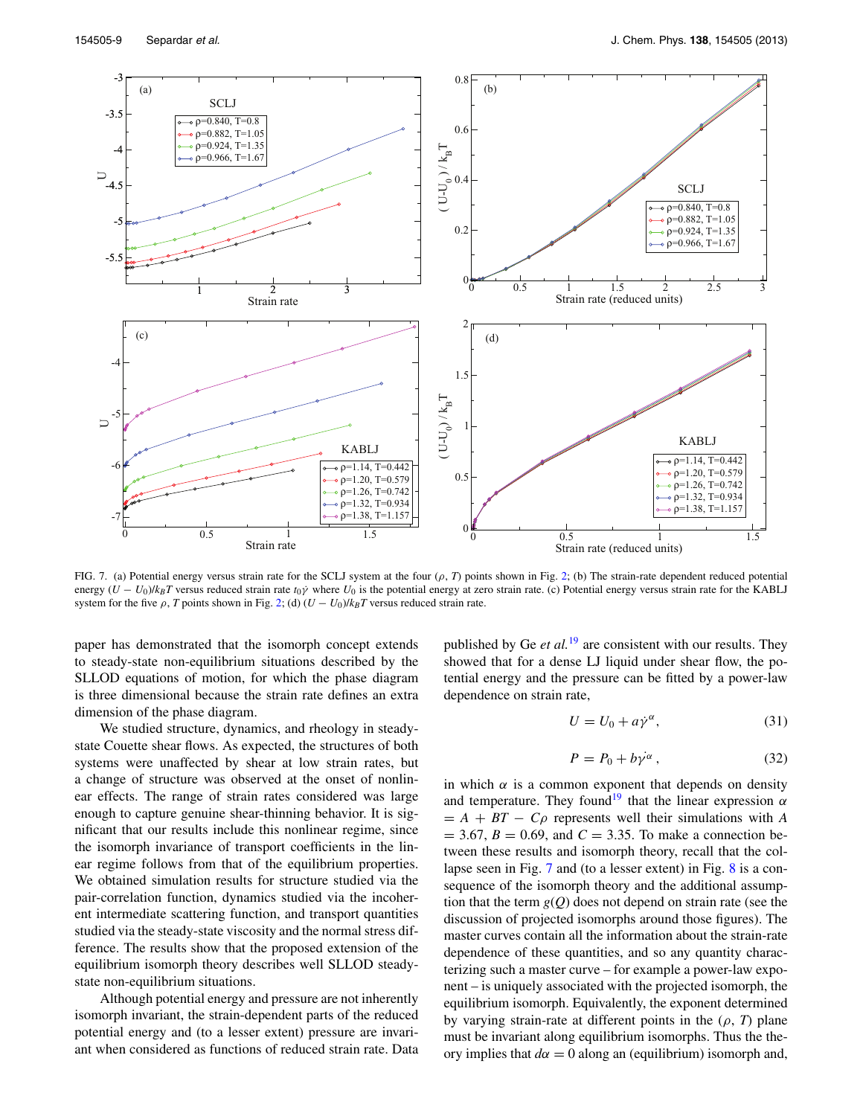<span id="page-8-0"></span>

FIG. 7. (a) Potential energy versus strain rate for the SCLJ system at the four  $(\rho, T)$  points shown in Fig. [2;](#page-4-2) (b) The strain-rate dependent reduced potential energy  $(U - U_0)/k_B T$  versus reduced strain rate  $t_0 \dot{y}$  where  $U_0$  is the potential energy at zero strain rate. (c) Potential energy versus strain rate for the KABLJ system for the five  $\rho$ , *T* points shown in Fig. [2;](#page-4-2) (d)  $(U - U_0)/k_BT$  versus reduced strain rate.

paper has demonstrated that the isomorph concept extends to steady-state non-equilibrium situations described by the SLLOD equations of motion, for which the phase diagram is three dimensional because the strain rate defines an extra dimension of the phase diagram.

We studied structure, dynamics, and rheology in steadystate Couette shear flows. As expected, the structures of both systems were unaffected by shear at low strain rates, but a change of structure was observed at the onset of nonlinear effects. The range of strain rates considered was large enough to capture genuine shear-thinning behavior. It is significant that our results include this nonlinear regime, since the isomorph invariance of transport coefficients in the linear regime follows from that of the equilibrium properties. We obtained simulation results for structure studied via the pair-correlation function, dynamics studied via the incoherent intermediate scattering function, and transport quantities studied via the steady-state viscosity and the normal stress difference. The results show that the proposed extension of the equilibrium isomorph theory describes well SLLOD steadystate non-equilibrium situations.

Although potential energy and pressure are not inherently isomorph invariant, the strain-dependent parts of the reduced potential energy and (to a lesser extent) pressure are invariant when considered as functions of reduced strain rate. Data published by Ge *et al.*[19](#page-10-13) are consistent with our results. They showed that for a dense LJ liquid under shear flow, the potential energy and the pressure can be fitted by a power-law dependence on strain rate,

$$
U = U_0 + a\dot{\gamma}^\alpha,\tag{31}
$$

$$
P = P_0 + b\gamma^{\alpha} \,, \tag{32}
$$

in which  $\alpha$  is a common exponent that depends on density and temperature. They found<sup>19</sup> that the linear expression  $\alpha$  $= A + BT - C\rho$  represents well their simulations with *A*  $= 3.67, B = 0.69, \text{ and } C = 3.35.$  To make a connection between these results and isomorph theory, recall that the collapse seen in Fig. [7](#page-8-0) and (to a lesser extent) in Fig. [8](#page-9-0) is a consequence of the isomorph theory and the additional assumption that the term  $g(Q)$  does not depend on strain rate (see the discussion of projected isomorphs around those figures). The master curves contain all the information about the strain-rate dependence of these quantities, and so any quantity characterizing such a master curve – for example a power-law exponent – is uniquely associated with the projected isomorph, the equilibrium isomorph. Equivalently, the exponent determined by varying strain-rate at different points in the (*ρ*, *T*) plane must be invariant along equilibrium isomorphs. Thus the theory implies that  $d\alpha = 0$  along an (equilibrium) isomorph and,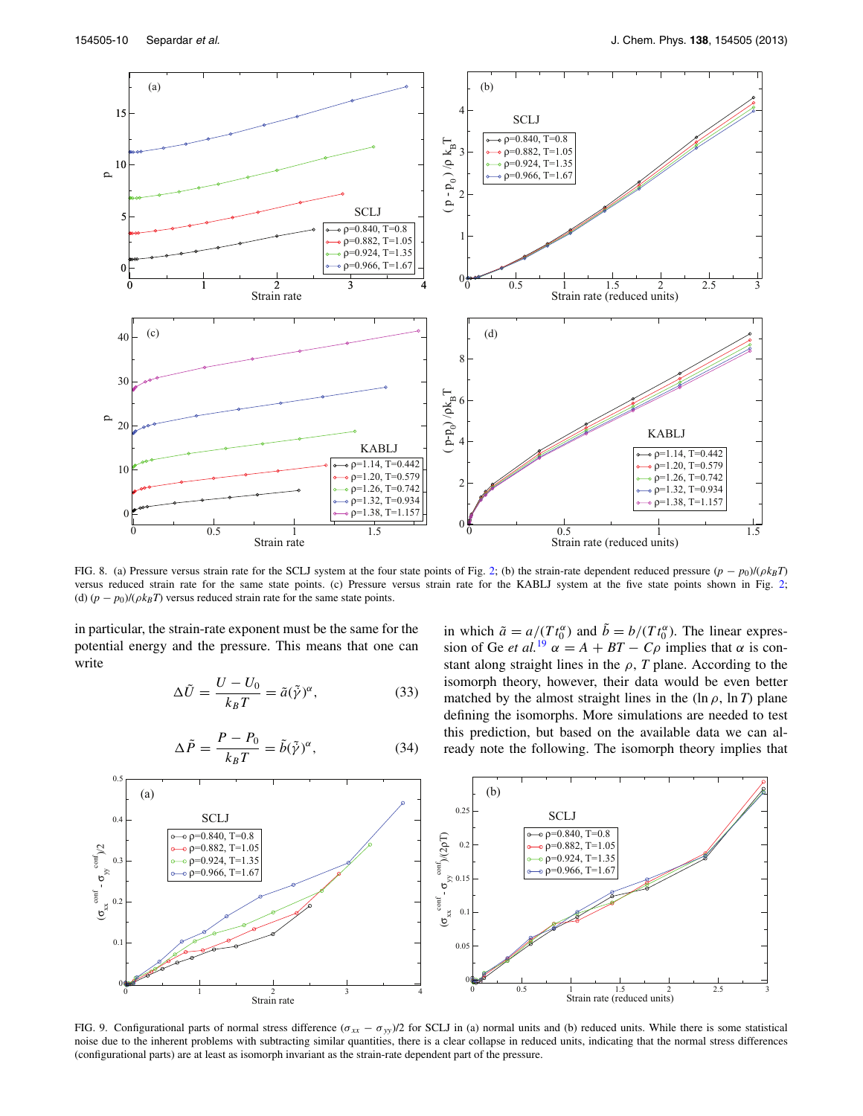<span id="page-9-0"></span>

FIG. 8. (a) Pressure versus strain rate for the SCLJ system at the four state points of Fig. [2;](#page-4-2) (b) the strain-rate dependent reduced pressure (*p* − *p*0)/(*ρkBT*) versus reduced strain rate for the same state points. (c) Pressure versus strain rate for the KABLJ system at the five state points shown in Fig. [2;](#page-4-2) (d)  $(p - p_0)/(\rho k_B T)$  versus reduced strain rate for the same state points.

in which  $\tilde{a} = a/(T t_0^{\alpha})$  and  $\tilde{b} = b/(T t_0^{\alpha})$ . The linear expression of Ge *et al.*<sup>[19](#page-10-13)</sup>  $\alpha = A + BT - C\rho$  implies that  $\alpha$  is constant along straight lines in the  $\rho$ , *T* plane. According to the isomorph theory, however, their data would be even better matched by the almost straight lines in the  $(\ln \rho, \ln T)$  plane defining the isomorphs. More simulations are needed to test this prediction, but based on the available data we can already note the following. The isomorph theory implies that

in particular, the strain-rate exponent must be the same for the potential energy and the pressure. This means that one can write

$$
\Delta \tilde{U} = \frac{U - U_0}{k_B T} = \tilde{a}(\tilde{\gamma})^{\alpha},\tag{33}
$$

<span id="page-9-1"></span>0.5  
\n(a)  
\n
$$
0.4
$$
  
\n $0.25$   
\n $0.25$   
\n $0.25$   
\n $0.25$   
\n $0.25$   
\n $0.25$   
\n $0.25$   
\n $0.25$   
\n $0.25$   
\n $0.25$   
\n $0.25$   
\n $0.25$   
\n $0.25$   
\n $0.25$   
\n $0.25$   
\n $0.25$   
\n $0.25$   
\n $0.25$   
\n $0.25$   
\n $0.25$   
\n $0.25$   
\n $0.25$   
\n $0.25$   
\n $0.25$   
\n $0.25$   
\n $0.25$   
\n $0.25$   
\n $0.25$   
\n $0.25$   
\n $0.25$   
\n $0.25$   
\n $0.25$   
\n $0.25$   
\n $0.25$   
\n $0.25$   
\n $0.25$   
\n $0.25$   
\n $0.25$   
\n $0.25$   
\n $0.25$   
\n $0.25$   
\n $0.25$   
\n $0.25$   
\n $0.25$   
\n $0.25$   
\n $0.25$   
\n $0.25$   
\n $0.25$   
\n $0.25$   
\n $0.25$   
\n $0.25$   
\n $0.25$   
\n $0.25$   
\n $0.25$   
\n $0.25$   
\n $0.25$   
\n $0.25$   
\n<

 $\Delta \tilde{P} = \frac{P - P_0}{k_B T} = \tilde{b}(\tilde{\gamma})$ *α,* (34)

FIG. 9. Configurational parts of normal stress difference  $(\sigma_{xx} - \sigma_{yy})/2$  for SCLJ in (a) normal units and (b) reduced units. While there is some statistical noise due to the inherent problems with subtracting similar quantities, there is a clear collapse in reduced units, indicating that the normal stress differences (configurational parts) are at least as isomorph invariant as the strain-rate dependent part of the pressure.